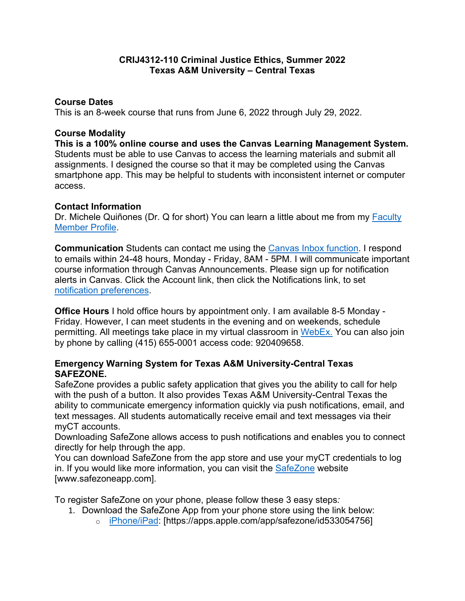### **CRIJ4312-110 Criminal Justice Ethics, Summer 2022 Texas A&M University – Central Texas**

### **Course Dates**

This is an 8-week course that runs from June 6, 2022 through July 29, 2022.

#### **Course Modality**

**This is a 100% online course and uses the Canvas Learning Management System.** Students must be able to use Canvas to access the learning materials and submit all assignments. I designed the course so that it may be completed using the Canvas smartphone app. This may be helpful to students with inconsistent internet or computer access.

### **Contact Information**

Dr. Michele Quiñones (Dr. Q for short) You can learn a little about me from my [Faculty](https://www.tamuct.edu/directory/dir-coas/quinones-michele.html)  [Member Profile.](https://www.tamuct.edu/directory/dir-coas/quinones-michele.html)

**Communication** Students can contact me using the [Canvas Inbox function.](https://community.canvaslms.com/t5/Student-Guide/How-do-I-use-the-Inbox-as-a-student/ta-p/532) I respond to emails within 24-48 hours, Monday - Friday, 8AM - 5PM. I will communicate important course information through Canvas Announcements. Please sign up for notification alerts in Canvas. Click the Account link, then click the Notifications link, to set [notification preferences.](https://community.canvaslms.com/t5/Student-Guide/How-do-I-set-my-Canvas-notification-preferences-as-a-student/ta-p/434)

**Office Hours** I hold office hours by appointment only. I am available 8-5 Monday - Friday. However, I can meet students in the evening and on weekends, schedule permitting. All meetings take place in my virtual classroom in [WebEx.](https://tamuct.webex.com/meet/mquinones) You can also join by phone by calling (415) 655-0001 access code: 920409658.

### **Emergency Warning System for Texas A&M University-Central Texas SAFEZONE.**

SafeZone provides a public safety application that gives you the ability to call for help with the push of a button. It also provides Texas A&M University-Central Texas the ability to communicate emergency information quickly via push notifications, email, and text messages. All students automatically receive email and text messages via their myCT accounts.

Downloading SafeZone allows access to push notifications and enables you to connect directly for help through the app.

You can download SafeZone from the app store and use your myCT credentials to log in. If you would like more information, you can visit the [SafeZone](http://www.safezoneapp.com/) website [www.safezoneapp.com].

To register SafeZone on your phone, please follow these 3 easy steps*:*

- 1. Download the SafeZone App from your phone store using the link below:
	- o [iPhone/iPad:](https://apps.apple.com/app/safezone/id533054756) [https://apps.apple.com/app/safezone/id533054756]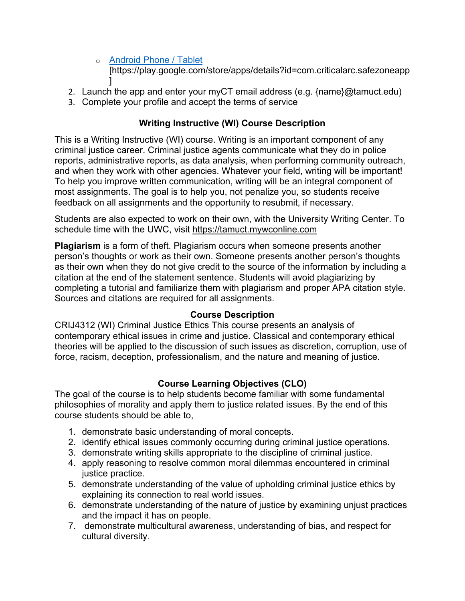- o [Android Phone / Tablet](https://play.google.com/store/apps/details?id=com.criticalarc.safezoneapp) [https://play.google.com/store/apps/details?id=com.criticalarc.safezoneapp ]
- 2. Launch the app and enter your myCT email address (e.g. {name}@tamuct.edu)
- 3. Complete your profile and accept the terms of service

# **Writing Instructive (WI) Course Description**

This is a Writing Instructive (WI) course. Writing is an important component of any criminal justice career. Criminal justice agents communicate what they do in police reports, administrative reports, as data analysis, when performing community outreach, and when they work with other agencies. Whatever your field, writing will be important! To help you improve written communication, writing will be an integral component of most assignments. The goal is to help you, not penalize you, so students receive feedback on all assignments and the opportunity to resubmit, if necessary.

Students are also expected to work on their own, with the University Writing Center. To schedule time with the UWC, visit [https://tamuct.mywconline.com](https://tamuct.mywconline.com/)

**Plagiarism** is a form of theft. Plagiarism occurs when someone presents another person's thoughts or work as their own. Someone presents another person's thoughts as their own when they do not give credit to the source of the information by including a citation at the end of the statement sentence. Students will avoid plagiarizing by completing a tutorial and familiarize them with plagiarism and proper APA citation style. Sources and citations are required for all assignments.

# **Course Description**

CRIJ4312 (WI) Criminal Justice Ethics This course presents an analysis of contemporary ethical issues in crime and justice. Classical and contemporary ethical theories will be applied to the discussion of such issues as discretion, corruption, use of force, racism, deception, professionalism, and the nature and meaning of justice.

# **Course Learning Objectives (CLO)**

The goal of the course is to help students become familiar with some fundamental philosophies of morality and apply them to justice related issues. By the end of this course students should be able to,

- 1. demonstrate basic understanding of moral concepts.
- 2. identify ethical issues commonly occurring during criminal justice operations.
- 3. demonstrate writing skills appropriate to the discipline of criminal justice.
- 4. apply reasoning to resolve common moral dilemmas encountered in criminal justice practice.
- 5. demonstrate understanding of the value of upholding criminal justice ethics by explaining its connection to real world issues.
- 6. demonstrate understanding of the nature of justice by examining unjust practices and the impact it has on people.
- 7. demonstrate multicultural awareness, understanding of bias, and respect for cultural diversity.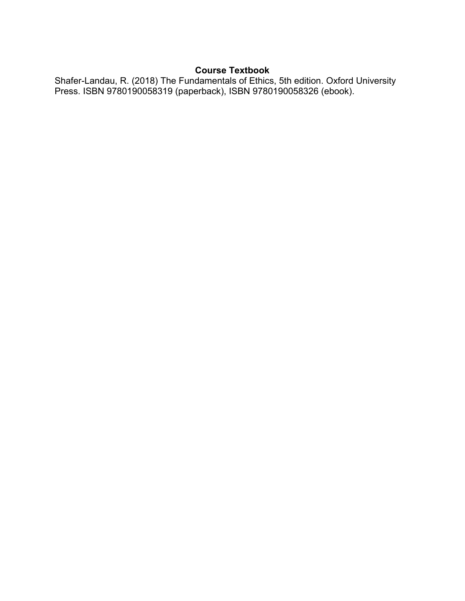# **Course Textbook**

Shafer-Landau, R. (2018) The Fundamentals of Ethics, 5th edition. Oxford University Press. ISBN 9780190058319 (paperback), ISBN 9780190058326 (ebook).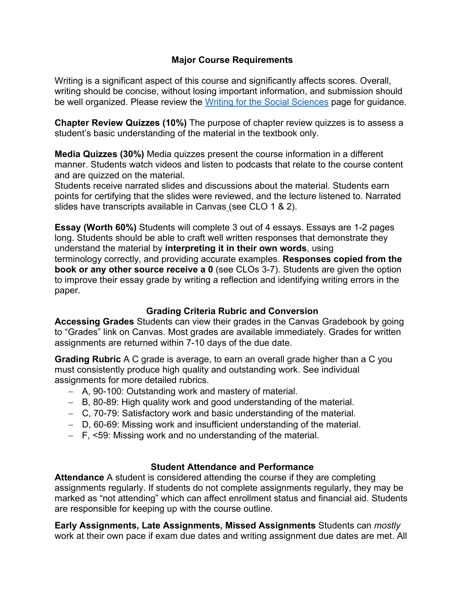# **Major Course Requirements**

Writing is a significant aspect of this course and significantly affects scores. Overall, writing should be concise, without losing important information, and submission should be well organized. Please review the [Writing for the Social Sciences](https://www.tamuct.edu/coas/coas-special-topics/uwc/writing-social-sciences.html) page for guidance.

**Chapter Review Quizzes (10%)** The purpose of chapter review quizzes is to assess a student's basic understanding of the material in the textbook only.

**Media Quizzes (30%)** Media quizzes present the course information in a different manner. Students watch videos and listen to podcasts that relate to the course content and are quizzed on the material.

Students receive narrated slides and discussions about the material. Students earn points for certifying that the slides were reviewed, and the lecture listened to. Narrated slides have transcripts available in Canvas (see CLO 1 & 2).

**Essay (Worth 60%)** Students will complete 3 out of 4 essays. Essays are 1-2 pages long. Students should be able to craft well written responses that demonstrate they understand the material by **interpreting it in their own words**, using terminology correctly, and providing accurate examples. **Responses copied from the book or any other source receive a 0** (see CLOs 3-7). Students are given the option to improve their essay grade by writing a reflection and identifying writing errors in the paper.

#### **Grading Criteria Rubric and Conversion**

**Accessing Grades** Students can view their grades in the Canvas Gradebook by going to "Grades" link on Canvas. Most grades are available immediately. Grades for written assignments are returned within 7-10 days of the due date.

**Grading Rubric** A C grade is average, to earn an overall grade higher than a C you must consistently produce high quality and outstanding work. See individual assignments for more detailed rubrics.

- − A, 90-100: Outstanding work and mastery of material.
- − B, 80-89: High quality work and good understanding of the material.
- − C, 70-79: Satisfactory work and basic understanding of the material.
- − D, 60-69: Missing work and insufficient understanding of the material.
- − F, <59: Missing work and no understanding of the material.

#### **Student Attendance and Performance**

**Attendance** A student is considered attending the course if they are completing assignments regularly. If students do not complete assignments regularly, they may be marked as "not attending" which can affect enrollment status and financial aid. Students are responsible for keeping up with the course outline.

**Early Assignments, Late Assignments, Missed Assignments** Students can *mostly* work at their own pace if exam due dates and writing assignment due dates are met. All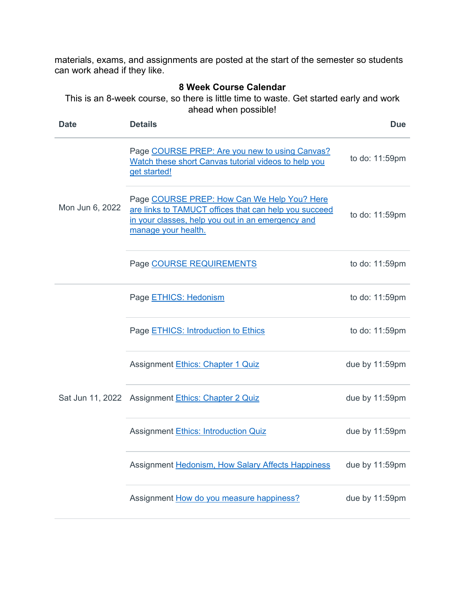materials, exams, and assignments are posted at the start of the semester so students can work ahead if they like.

#### **8 Week Course Calendar**

This is an 8-week course, so there is little time to waste. Get started early and work ahead when possible!

| <b>Date</b>     | <b>Details</b>                                                                                                                                                                   | <b>Due</b>     |
|-----------------|----------------------------------------------------------------------------------------------------------------------------------------------------------------------------------|----------------|
| Mon Jun 6, 2022 | Page COURSE PREP: Are you new to using Canvas?<br>Watch these short Canvas tutorial videos to help you<br>get started!                                                           | to do: 11:59pm |
|                 | Page COURSE PREP: How Can We Help You? Here<br>are links to TAMUCT offices that can help you succeed<br>in your classes, help you out in an emergency and<br>manage your health. | to do: 11:59pm |
|                 | Page COURSE REQUIREMENTS                                                                                                                                                         | to do: 11:59pm |
|                 | Page ETHICS: Hedonism                                                                                                                                                            | to do: 11:59pm |
|                 | Page ETHICS: Introduction to Ethics                                                                                                                                              | to do: 11:59pm |
|                 | <b>Assignment Ethics: Chapter 1 Quiz</b>                                                                                                                                         | due by 11:59pm |
|                 | Sat Jun 11, 2022 Assignment Ethics: Chapter 2 Quiz                                                                                                                               | due by 11:59pm |
|                 | <b>Assignment Ethics: Introduction Quiz</b>                                                                                                                                      | due by 11:59pm |
|                 | Assignment Hedonism, How Salary Affects Happiness                                                                                                                                | due by 11:59pm |
|                 | Assignment How do you measure happiness?                                                                                                                                         | due by 11:59pm |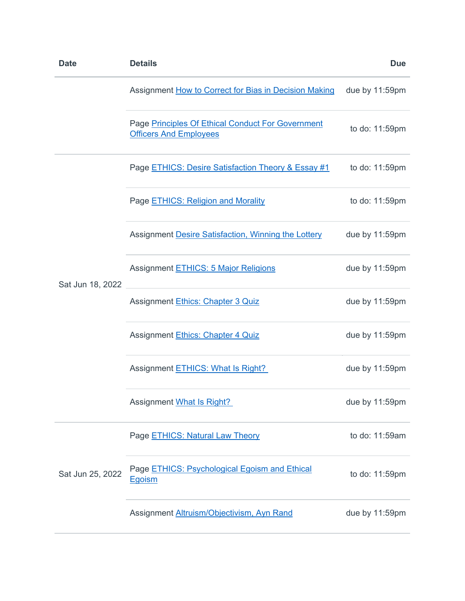| <b>Date</b>      | <b>Details</b>                                                                     | <b>Due</b>     |
|------------------|------------------------------------------------------------------------------------|----------------|
|                  | Assignment How to Correct for Bias in Decision Making                              | due by 11:59pm |
|                  | Page Principles Of Ethical Conduct For Government<br><b>Officers And Employees</b> | to do: 11:59pm |
| Sat Jun 18, 2022 | Page <b>ETHICS: Desire Satisfaction Theory &amp; Essay #1</b>                      | to do: 11:59pm |
|                  | Page ETHICS: Religion and Morality                                                 | to do: 11:59pm |
|                  | Assignment Desire Satisfaction, Winning the Lottery                                | due by 11:59pm |
|                  | <b>Assignment ETHICS: 5 Major Religions</b>                                        | due by 11:59pm |
|                  | Assignment Ethics: Chapter 3 Quiz                                                  | due by 11:59pm |
|                  | Assignment Ethics: Chapter 4 Quiz                                                  | due by 11:59pm |
|                  | Assignment ETHICS: What Is Right?                                                  | due by 11:59pm |
|                  | <b>Assignment What Is Right?</b>                                                   | due by 11:59pm |
| Sat Jun 25, 2022 | Page <b>ETHICS: Natural Law Theory</b>                                             | to do: 11:59am |
|                  | Page <b>ETHICS: Psychological Egoism and Ethical</b><br><b>Egoism</b>              | to do: 11:59pm |
|                  | Assignment Altruism/Objectivism, Ayn Rand                                          | due by 11:59pm |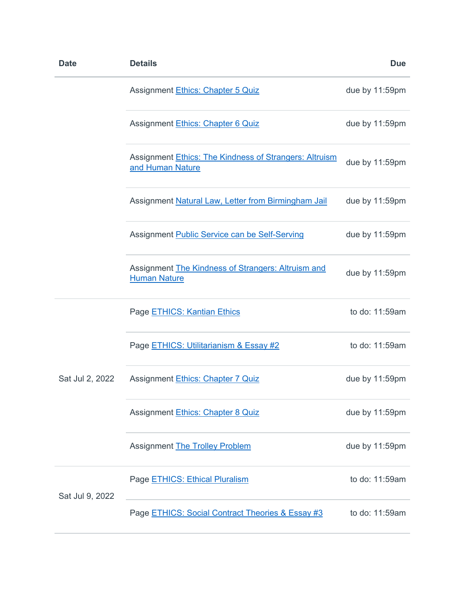| <b>Date</b>     | <b>Details</b>                                                             | <b>Due</b>     |
|-----------------|----------------------------------------------------------------------------|----------------|
|                 | Assignment Ethics: Chapter 5 Quiz                                          | due by 11:59pm |
|                 | Assignment Ethics: Chapter 6 Quiz                                          | due by 11:59pm |
|                 | Assignment Ethics: The Kindness of Strangers: Altruism<br>and Human Nature | due by 11:59pm |
|                 | Assignment Natural Law, Letter from Birmingham Jail                        | due by 11:59pm |
|                 | Assignment Public Service can be Self-Serving                              | due by 11:59pm |
|                 | Assignment The Kindness of Strangers: Altruism and<br><b>Human Nature</b>  | due by 11:59pm |
| Sat Jul 2, 2022 | Page ETHICS: Kantian Ethics                                                | to do: 11:59am |
|                 | Page ETHICS: Utilitarianism & Essay #2                                     | to do: 11:59am |
|                 | <b>Assignment Ethics: Chapter 7 Quiz</b>                                   | due by 11:59pm |
|                 | Assignment Ethics: Chapter 8 Quiz                                          | due by 11:59pm |
|                 | <b>Assignment The Trolley Problem</b>                                      | due by 11:59pm |
| Sat Jul 9, 2022 | Page ETHICS: Ethical Pluralism                                             | to do: 11:59am |
|                 | Page <b>ETHICS: Social Contract Theories &amp; Essay #3</b>                | to do: 11:59am |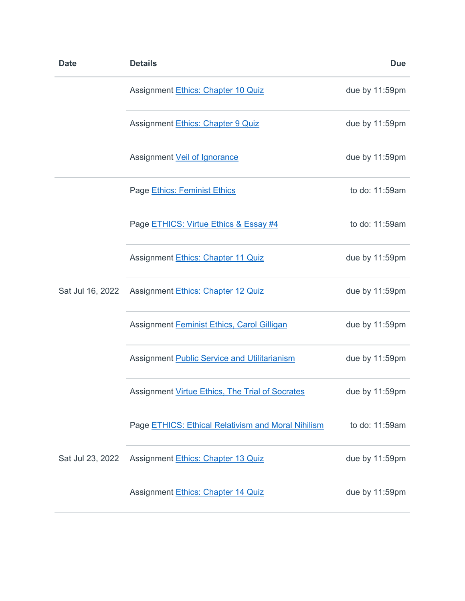| <b>Date</b>      | <b>Details</b>                                         | <b>Due</b>     |
|------------------|--------------------------------------------------------|----------------|
|                  | Assignment Ethics: Chapter 10 Quiz                     | due by 11:59pm |
|                  | Assignment Ethics: Chapter 9 Quiz                      | due by 11:59pm |
|                  | Assignment Veil of Ignorance                           | due by 11:59pm |
| Sat Jul 16, 2022 | Page Ethics: Feminist Ethics                           | to do: 11:59am |
|                  | Page ETHICS: Virtue Ethics & Essay #4                  | to do: 11:59am |
|                  | Assignment Ethics: Chapter 11 Quiz                     | due by 11:59pm |
|                  | Assignment Ethics: Chapter 12 Quiz                     | due by 11:59pm |
|                  | Assignment Feminist Ethics, Carol Gilligan             | due by 11:59pm |
|                  | Assignment Public Service and Utilitarianism           | due by 11:59pm |
|                  | <b>Assignment Virtue Ethics, The Trial of Socrates</b> | due by 11:59pm |
| Sat Jul 23, 2022 | Page ETHICS: Ethical Relativism and Moral Nihilism     | to do: 11:59am |
|                  | Assignment Ethics: Chapter 13 Quiz                     | due by 11:59pm |
|                  | Assignment Ethics: Chapter 14 Quiz                     | due by 11:59pm |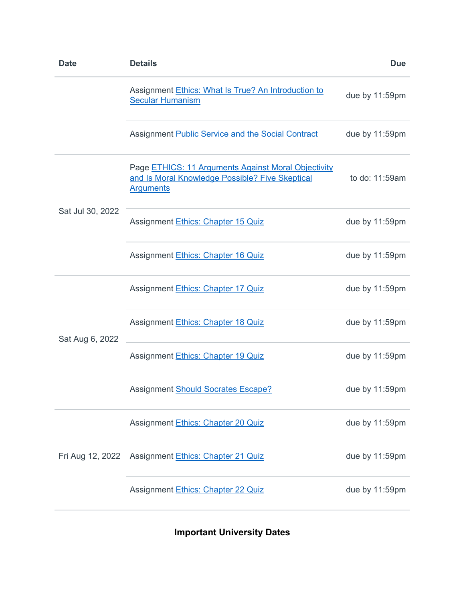| <b>Date</b>      | <b>Details</b>                                                                                                             | <b>Due</b>     |
|------------------|----------------------------------------------------------------------------------------------------------------------------|----------------|
|                  | Assignment Ethics: What Is True? An Introduction to<br><b>Secular Humanism</b>                                             | due by 11:59pm |
|                  | <b>Assignment Public Service and the Social Contract</b>                                                                   | due by 11:59pm |
| Sat Jul 30, 2022 | Page ETHICS: 11 Arguments Against Moral Objectivity<br>and Is Moral Knowledge Possible? Five Skeptical<br><b>Arguments</b> | to do: 11:59am |
|                  | <b>Assignment Ethics: Chapter 15 Quiz</b>                                                                                  | due by 11:59pm |
|                  | Assignment Ethics: Chapter 16 Quiz                                                                                         | due by 11:59pm |
| Sat Aug 6, 2022  | Assignment Ethics: Chapter 17 Quiz                                                                                         | due by 11:59pm |
|                  | <b>Assignment Ethics: Chapter 18 Quiz</b>                                                                                  | due by 11:59pm |
|                  | Assignment Ethics: Chapter 19 Quiz                                                                                         | due by 11:59pm |
|                  | <b>Assignment Should Socrates Escape?</b>                                                                                  | due by 11:59pm |
| Fri Aug 12, 2022 | Assignment Ethics: Chapter 20 Quiz                                                                                         | due by 11:59pm |
|                  | Assignment Ethics: Chapter 21 Quiz                                                                                         | due by 11:59pm |
|                  | Assignment Ethics: Chapter 22 Quiz                                                                                         | due by 11:59pm |

**Important University Dates**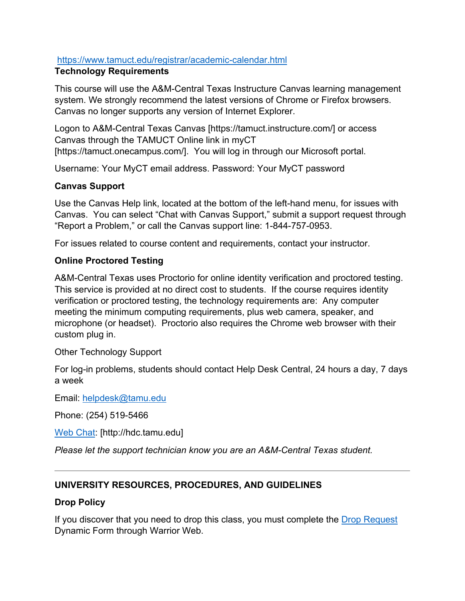### <https://www.tamuct.edu/registrar/academic-calendar.html>

#### **Technology Requirements**

This course will use the A&M-Central Texas Instructure Canvas learning management system. We strongly recommend the latest versions of Chrome or Firefox browsers. Canvas no longer supports any version of Internet Explorer.

Logon to A&M-Central Texas Canvas [https://tamuct.instructure.com/] or access Canvas through the TAMUCT Online link in myCT [https://tamuct.onecampus.com/]. You will log in through our Microsoft portal.

Username: Your MyCT email address. Password: Your MyCT password

### **Canvas Support**

Use the Canvas Help link, located at the bottom of the left-hand menu, for issues with Canvas. You can select "Chat with Canvas Support," submit a support request through "Report a Problem," or call the Canvas support line: 1-844-757-0953.

For issues related to course content and requirements, contact your instructor.

#### **Online Proctored Testing**

A&M-Central Texas uses Proctorio for online identity verification and proctored testing. This service is provided at no direct cost to students. If the course requires identity verification or proctored testing, the technology requirements are: Any computer meeting the minimum computing requirements, plus web camera, speaker, and microphone (or headset). Proctorio also requires the Chrome web browser with their custom plug in.

Other Technology Support

For log-in problems, students should contact Help Desk Central, 24 hours a day, 7 days a week

Email: [helpdesk@tamu.edu](mailto:helpdesk@tamu.edu)

Phone: (254) 519-5466

[Web Chat:](http://hdc.tamu.edu/) [http://hdc.tamu.edu]

*Please let the support technician know you are an A&M-Central Texas student.*

# **UNIVERSITY RESOURCES, PROCEDURES, AND GUIDELINES**

#### **Drop Policy**

If you discover that you need to drop this class, you must complete the [Drop Request](https://federation.ngwebsolutions.com/sp/startSSO.ping?PartnerIdpId=https://eis-prod.ec.tamuct.edu:443/samlsso&SpSessionAuthnAdapterId=tamuctDF&TargetResource=https%3a%2f%2fdynamicforms.ngwebsolutions.com%2fSubmit%2fStart%2f53b8369e-0502-4f36-be43-f02a4202f612) Dynamic Form through Warrior Web.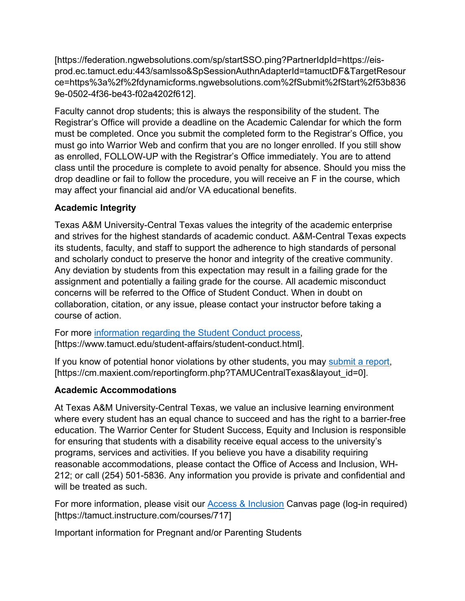[https://federation.ngwebsolutions.com/sp/startSSO.ping?PartnerIdpId=https://eisprod.ec.tamuct.edu:443/samlsso&SpSessionAuthnAdapterId=tamuctDF&TargetResour ce=https%3a%2f%2fdynamicforms.ngwebsolutions.com%2fSubmit%2fStart%2f53b836 9e-0502-4f36-be43-f02a4202f612].

Faculty cannot drop students; this is always the responsibility of the student. The Registrar's Office will provide a deadline on the Academic Calendar for which the form must be completed. Once you submit the completed form to the Registrar's Office, you must go into Warrior Web and confirm that you are no longer enrolled. If you still show as enrolled, FOLLOW-UP with the Registrar's Office immediately. You are to attend class until the procedure is complete to avoid penalty for absence. Should you miss the drop deadline or fail to follow the procedure, you will receive an F in the course, which may affect your financial aid and/or VA educational benefits.

# **Academic Integrity**

Texas A&M University-Central Texas values the integrity of the academic enterprise and strives for the highest standards of academic conduct. A&M-Central Texas expects its students, faculty, and staff to support the adherence to high standards of personal and scholarly conduct to preserve the honor and integrity of the creative community. Any deviation by students from this expectation may result in a failing grade for the assignment and potentially a failing grade for the course. All academic misconduct concerns will be referred to the Office of Student Conduct. When in doubt on collaboration, citation, or any issue, please contact your instructor before taking a course of action.

For more [information regarding the Student Conduct process,](https://nam04.safelinks.protection.outlook.com/?url=https%3A%2F%2Fwww.tamuct.edu%2Fstudent-affairs%2Fstudent-conduct.html&data=04%7C01%7Clisa.bunkowski%40tamuct.edu%7Ccfb6e486f24745f53e1a08d910055cb2%7C9eed4e3000f744849ff193ad8005acec%7C0%7C0%7C637558437485252160%7CUnknown%7CTWFpbGZsb3d8eyJWIjoiMC4wLjAwMDAiLCJQIjoiV2luMzIiLCJBTiI6Ik1haWwiLCJXVCI6Mn0%3D%7C1000&sdata=yjftDEVHvLX%2FhM%2FcFU0B99krV1RgEWR%2BJ%2BhvtoR6TYk%3D&reserved=0) [https://www.tamuct.edu/student-affairs/student-conduct.html].

If you know of potential honor violations by other students, you may [submit a report,](https://nam04.safelinks.protection.outlook.com/?url=https%3A%2F%2Fcm.maxient.com%2Freportingform.php%3FTAMUCentralTexas%26layout_id%3D0&data=04%7C01%7Clisa.bunkowski%40tamuct.edu%7Ccfb6e486f24745f53e1a08d910055cb2%7C9eed4e3000f744849ff193ad8005acec%7C0%7C0%7C637558437485262157%7CUnknown%7CTWFpbGZsb3d8eyJWIjoiMC4wLjAwMDAiLCJQIjoiV2luMzIiLCJBTiI6Ik1haWwiLCJXVCI6Mn0%3D%7C1000&sdata=CXGkOa6uPDPX1IMZ87z3aZDq2n91xfHKu4MMS43Ejjk%3D&reserved=0) [https://cm.maxient.com/reportingform.php?TAMUCentralTexas&layout\_id=0].

# **Academic Accommodations**

At Texas A&M University-Central Texas, we value an inclusive learning environment where every student has an equal chance to succeed and has the right to a barrier-free education. The Warrior Center for Student Success, Equity and Inclusion is responsible for ensuring that students with a disability receive equal access to the university's programs, services and activities. If you believe you have a disability requiring reasonable accommodations, please contact the Office of Access and Inclusion, WH-212; or call (254) 501-5836. Any information you provide is private and confidential and will be treated as such.

For more information, please visit our **Access & Inclusion** Canvas page (log-in required) [https://tamuct.instructure.com/courses/717]

Important information for Pregnant and/or Parenting Students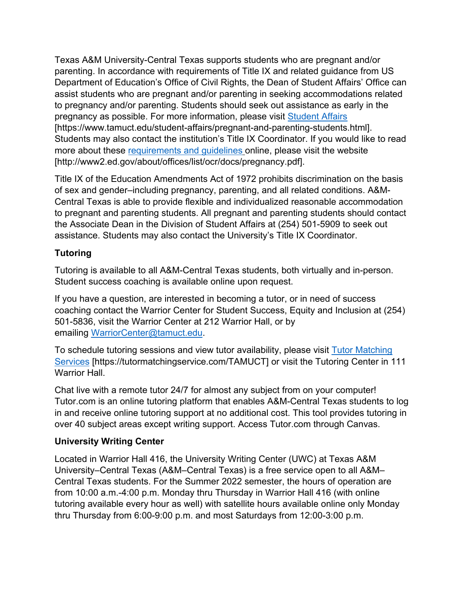Texas A&M University-Central Texas supports students who are pregnant and/or parenting. In accordance with requirements of Title IX and related guidance from US Department of Education's Office of Civil Rights, the Dean of Student Affairs' Office can assist students who are pregnant and/or parenting in seeking accommodations related to pregnancy and/or parenting. Students should seek out assistance as early in the pregnancy as possible. For more information, please visit [Student Affairs](https://www.tamuct.edu/student-affairs/pregnant-and-parenting-students.html) [https://www.tamuct.edu/student-affairs/pregnant-and-parenting-students.html]. Students may also contact the institution's Title IX Coordinator. If you would like to read more about these [requirements and guidelines](http://www2.ed.gov/about/offices/list/ocr/docs/pregnancy.pdf) online, please visit the website [http://www2.ed.gov/about/offices/list/ocr/docs/pregnancy.pdf].

Title IX of the Education Amendments Act of 1972 prohibits discrimination on the basis of sex and gender–including pregnancy, parenting, and all related conditions. A&M-Central Texas is able to provide flexible and individualized reasonable accommodation to pregnant and parenting students. All pregnant and parenting students should contact the Associate Dean in the Division of Student Affairs at (254) 501-5909 to seek out assistance. Students may also contact the University's Title IX Coordinator.

# **Tutoring**

Tutoring is available to all A&M-Central Texas students, both virtually and in-person. Student success coaching is available online upon request.

If you have a question, are interested in becoming a tutor, or in need of success coaching contact the Warrior Center for Student Success, Equity and Inclusion at (254) 501-5836, visit the Warrior Center at 212 Warrior Hall, or by emailing [WarriorCenter@tamuct.edu.](mailto:WarriorCenter@tamuct.edu)

To schedule tutoring sessions and view tutor availability, please visit [Tutor Matching](https://tutormatchingservice.com/TAMUCT)  [Services](https://tutormatchingservice.com/TAMUCT) [https://tutormatchingservice.com/TAMUCT] or visit the Tutoring Center in 111 Warrior Hall.

Chat live with a remote tutor 24/7 for almost any subject from on your computer! Tutor.com is an online tutoring platform that enables A&M-Central Texas students to log in and receive online tutoring support at no additional cost. This tool provides tutoring in over 40 subject areas except writing support. Access Tutor.com through Canvas.

# **University Writing Center**

Located in Warrior Hall 416, the University Writing Center (UWC) at Texas A&M University–Central Texas (A&M–Central Texas) is a free service open to all A&M– Central Texas students. For the Summer 2022 semester, the hours of operation are from 10:00 a.m.-4:00 p.m. Monday thru Thursday in Warrior Hall 416 (with online tutoring available every hour as well) with satellite hours available online only Monday thru Thursday from 6:00-9:00 p.m. and most Saturdays from 12:00-3:00 p.m.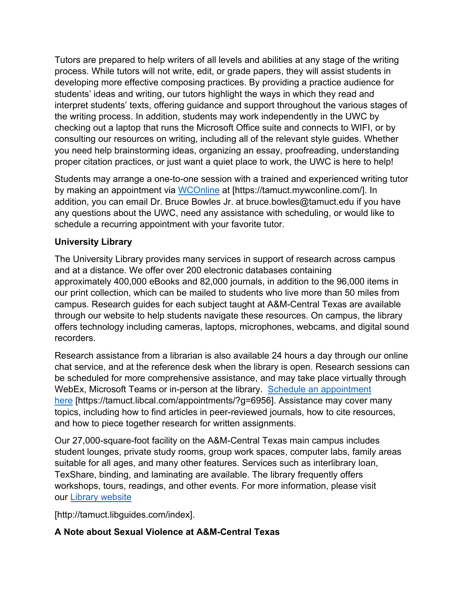Tutors are prepared to help writers of all levels and abilities at any stage of the writing process. While tutors will not write, edit, or grade papers, they will assist students in developing more effective composing practices. By providing a practice audience for students' ideas and writing, our tutors highlight the ways in which they read and interpret students' texts, offering guidance and support throughout the various stages of the writing process. In addition, students may work independently in the UWC by checking out a laptop that runs the Microsoft Office suite and connects to WIFI, or by consulting our resources on writing, including all of the relevant style guides. Whether you need help brainstorming ideas, organizing an essay, proofreading, understanding proper citation practices, or just want a quiet place to work, the UWC is here to help!

Students may arrange a one-to-one session with a trained and experienced writing tutor by making an appointment via [WCOnline](https://tamuct.mywconline.com/) at [https://tamuct.mywconline.com/]. In addition, you can email Dr. Bruce Bowles Jr. at bruce.bowles@tamuct.edu if you have any questions about the UWC, need any assistance with scheduling, or would like to schedule a recurring appointment with your favorite tutor.

# **University Library**

The University Library provides many services in support of research across campus and at a distance. We offer over 200 electronic databases containing approximately 400,000 eBooks and 82,000 journals, in addition to the 96,000 items in our print collection, which can be mailed to students who live more than 50 miles from campus. Research guides for each subject taught at A&M-Central Texas are available through our website to help students navigate these resources. On campus, the library offers technology including cameras, laptops, microphones, webcams, and digital sound recorders.

Research assistance from a librarian is also available 24 hours a day through our online chat service, and at the reference desk when the library is open. Research sessions can be scheduled for more comprehensive assistance, and may take place virtually through WebEx, Microsoft Teams or in-person at the library. [Schedule an appointment](https://nam04.safelinks.protection.outlook.com/?url=https%3A%2F%2Ftamuct.libcal.com%2Fappointments%2F%3Fg%3D6956&data=04%7C01%7Clisa.bunkowski%40tamuct.edu%7Cde2c07d9f5804f09518008d9ab7ba6ff%7C9eed4e3000f744849ff193ad8005acec%7C0%7C0%7C637729369835011558%7CUnknown%7CTWFpbGZsb3d8eyJWIjoiMC4wLjAwMDAiLCJQIjoiV2luMzIiLCJBTiI6Ik1haWwiLCJXVCI6Mn0%3D%7C3000&sdata=KhtjgRSAw9aq%2FoBsB6wyu8b7PSuGN5EGPypzr3Ty2No%3D&reserved=0)  [here](https://nam04.safelinks.protection.outlook.com/?url=https%3A%2F%2Ftamuct.libcal.com%2Fappointments%2F%3Fg%3D6956&data=04%7C01%7Clisa.bunkowski%40tamuct.edu%7Cde2c07d9f5804f09518008d9ab7ba6ff%7C9eed4e3000f744849ff193ad8005acec%7C0%7C0%7C637729369835011558%7CUnknown%7CTWFpbGZsb3d8eyJWIjoiMC4wLjAwMDAiLCJQIjoiV2luMzIiLCJBTiI6Ik1haWwiLCJXVCI6Mn0%3D%7C3000&sdata=KhtjgRSAw9aq%2FoBsB6wyu8b7PSuGN5EGPypzr3Ty2No%3D&reserved=0) [https://tamuct.libcal.com/appointments/?g=6956]. Assistance may cover many topics, including how to find articles in peer-reviewed journals, how to cite resources, and how to piece together research for written assignments.

Our 27,000-square-foot facility on the A&M-Central Texas main campus includes student lounges, private study rooms, group work spaces, computer labs, family areas suitable for all ages, and many other features. Services such as interlibrary loan, TexShare, binding, and laminating are available. The library frequently offers workshops, tours, readings, and other events. For more information, please visit our [Library website](https://nam04.safelinks.protection.outlook.com/?url=https%3A%2F%2Ftamuct.libguides.com%2Findex&data=04%7C01%7Clisa.bunkowski%40tamuct.edu%7C7d8489e8839a4915335f08d916f067f2%7C9eed4e3000f744849ff193ad8005acec%7C0%7C0%7C637566044056484222%7CUnknown%7CTWFpbGZsb3d8eyJWIjoiMC4wLjAwMDAiLCJQIjoiV2luMzIiLCJBTiI6Ik1haWwiLCJXVCI6Mn0%3D%7C1000&sdata=2R755V6rcIyedGrd4Os5rkgn1PvhHKU3kUV1vBKiHFo%3D&reserved=0)

[http://tamuct.libguides.com/index].

# **A Note about Sexual Violence at A&M-Central Texas**